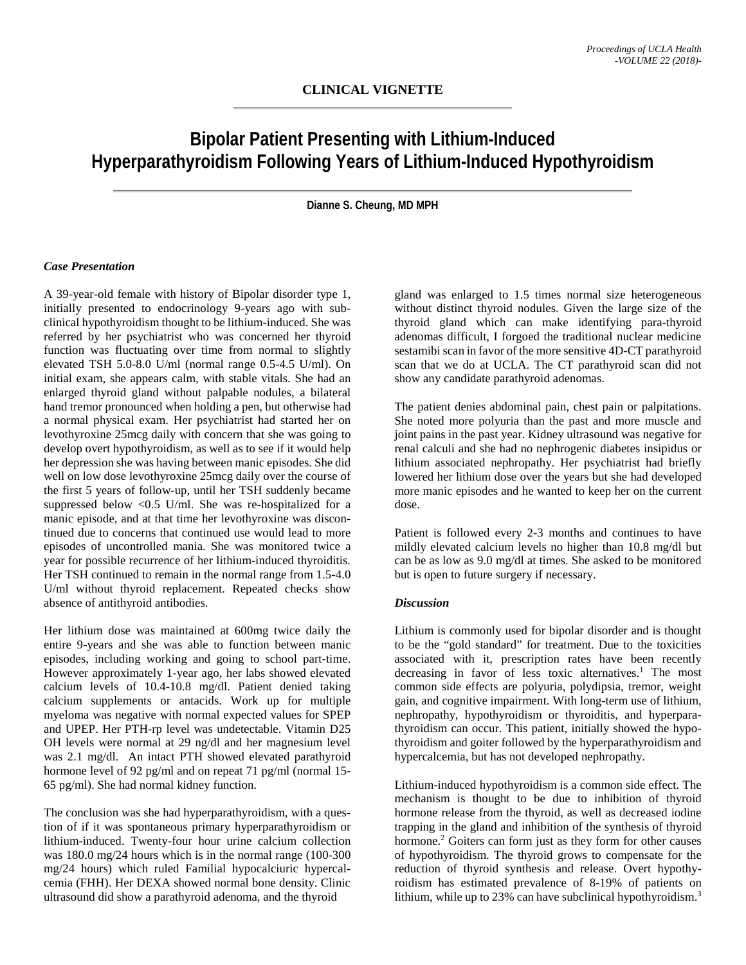## **Bipolar Patient Presenting with Lithium-Induced Hyperparathyroidism Following Years of Lithium-Induced Hypothyroidism**

**Dianne S. Cheung, MD MPH**

## *Case Presentation*

A 39-year-old female with history of Bipolar disorder type 1, initially presented to endocrinology 9-years ago with subclinical hypothyroidism thought to be lithium-induced. She was referred by her psychiatrist who was concerned her thyroid function was fluctuating over time from normal to slightly elevated TSH 5.0-8.0 U/ml (normal range 0.5-4.5 U/ml). On initial exam, she appears calm, with stable vitals. She had an enlarged thyroid gland without palpable nodules, a bilateral hand tremor pronounced when holding a pen, but otherwise had a normal physical exam. Her psychiatrist had started her on levothyroxine 25mcg daily with concern that she was going to develop overt hypothyroidism, as well as to see if it would help her depression she was having between manic episodes. She did well on low dose levothyroxine 25mcg daily over the course of the first 5 years of follow-up, until her TSH suddenly became suppressed below  $\langle 0.5 \text{ U/ml} \rangle$ . She was re-hospitalized for a manic episode, and at that time her levothyroxine was discontinued due to concerns that continued use would lead to more episodes of uncontrolled mania. She was monitored twice a year for possible recurrence of her lithium-induced thyroiditis. Her TSH continued to remain in the normal range from 1.5-4.0 U/ml without thyroid replacement. Repeated checks show absence of antithyroid antibodies.

Her lithium dose was maintained at 600mg twice daily the entire 9-years and she was able to function between manic episodes, including working and going to school part-time. However approximately 1-year ago, her labs showed elevated calcium levels of 10.4-10.8 mg/dl. Patient denied taking calcium supplements or antacids. Work up for multiple myeloma was negative with normal expected values for SPEP and UPEP. Her PTH-rp level was undetectable. Vitamin D25 OH levels were normal at 29 ng/dl and her magnesium level was 2.1 mg/dl. An intact PTH showed elevated parathyroid hormone level of 92 pg/ml and on repeat 71 pg/ml (normal 15-65 pg/ml). She had normal kidney function.

The conclusion was she had hyperparathyroidism, with a question of if it was spontaneous primary hyperparathyroidism or lithium-induced. Twenty-four hour urine calcium collection was 180.0 mg/24 hours which is in the normal range (100-300 mg/24 hours) which ruled Familial hypocalciuric hypercalcemia (FHH). Her DEXA showed normal bone density. Clinic ultrasound did show a parathyroid adenoma, and the thyroid

gland was enlarged to 1.5 times normal size heterogeneous without distinct thyroid nodules. Given the large size of the thyroid gland which can make identifying para-thyroid adenomas difficult, I forgoed the traditional nuclear medicine sestamibi scan in favor of the more sensitive 4D-CT parathyroid scan that we do at UCLA. The CT parathyroid scan did not show any candidate parathyroid adenomas.

The patient denies abdominal pain, chest pain or palpitations. She noted more polyuria than the past and more muscle and joint pains in the past year. Kidney ultrasound was negative for renal calculi and she had no nephrogenic diabetes insipidus or lithium associated nephropathy. Her psychiatrist had briefly lowered her lithium dose over the years but she had developed more manic episodes and he wanted to keep her on the current dose.

Patient is followed every 2-3 months and continues to have mildly elevated calcium levels no higher than 10.8 mg/dl but can be as low as 9.0 mg/dl at times. She asked to be monitored but is open to future surgery if necessary.

## *Discussion*

Lithium is commonly used for bipolar disorder and is thought to be the "gold standard" for treatment. Due to the toxicities associated with it, prescription rates have been recently decreasing in favor of less toxic alternatives. <sup>1</sup> The most common side effects are polyuria, polydipsia, tremor, weight gain, and cognitive impairment. With long-term use of lithium, nephropathy, hypothyroidism or thyroiditis, and hyperparathyroidism can occur. This patient, initially showed the hypothyroidism and goiter followed by the hyperparathyroidism and hypercalcemia, but has not developed nephropathy.

Lithium-induced hypothyroidism is a common side effect. The mechanism is thought to be due to inhibition of thyroid hormone release from the thyroid, as well as decreased iodine trapping in the gland and inhibition of the synthesis of thyroid hormone.<sup>2</sup> Goiters can form just as they form for other causes of hypothyroidism. The thyroid grows to compensate for the reduction of thyroid synthesis and release. Overt hypothyroidism has estimated prevalence of 8-19% of patients on lithium, while up to 23% can have subclinical hypothyroidism.<sup>3</sup>